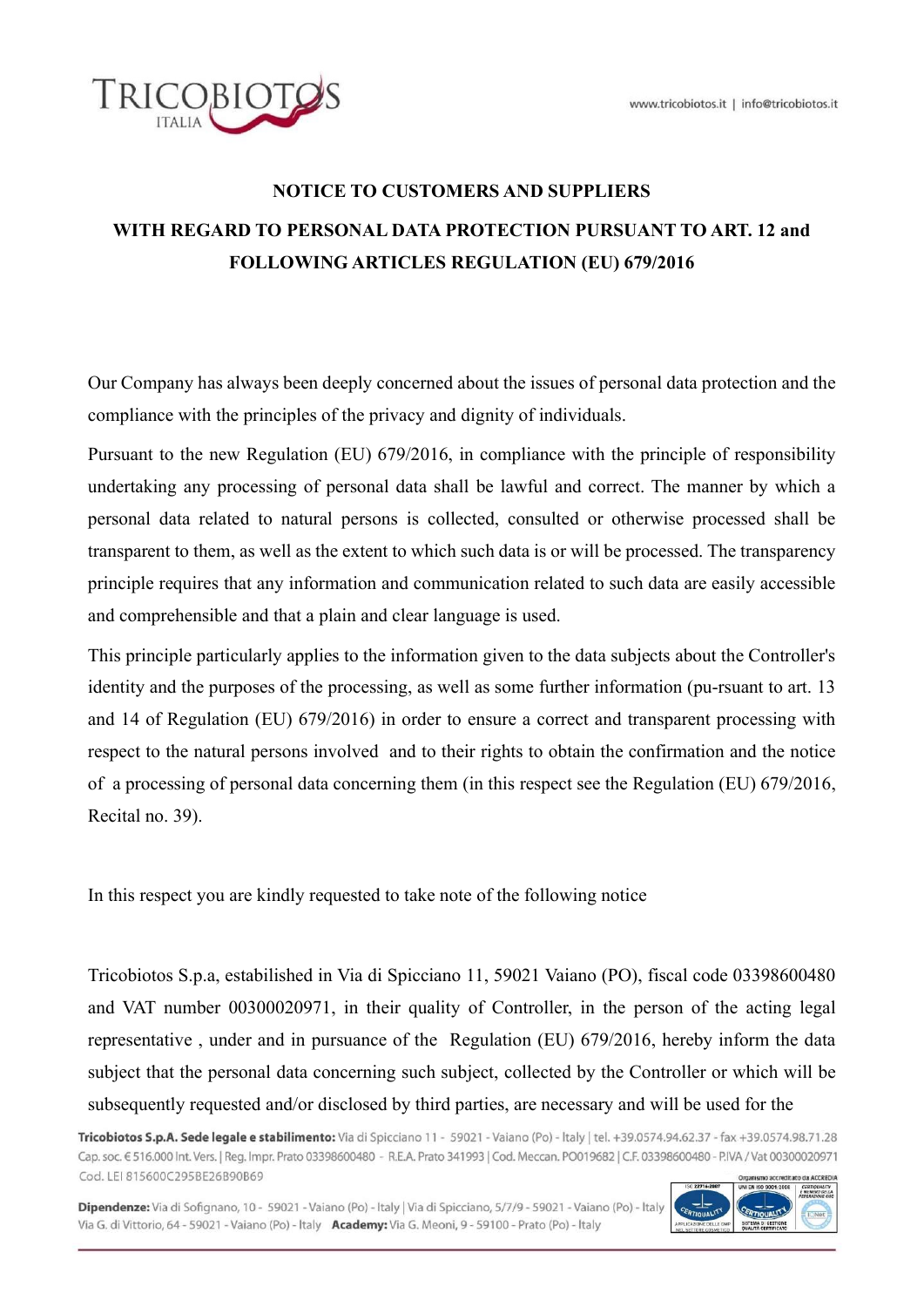

# NOTICE TO CUSTOMERS AND SUPPLIERS WITH REGARD TO PERSONAL DATA PROTECTION PURSUANT TO ART. 12 and FOLLOWING ARTICLES REGULATION (EU) 679/2016

Our Company has always been deeply concerned about the issues of personal data protection and the compliance with the principles of the privacy and dignity of individuals.

Pursuant to the new Regulation (EU) 679/2016, in compliance with the principle of responsibility undertaking any processing of personal data shall be lawful and correct. The manner by which a personal data related to natural persons is collected, consulted or otherwise processed shall be transparent to them, as well as the extent to which such data is or will be processed. The transparency principle requires that any information and communication related to such data are easily accessible and comprehensible and that a plain and clear language is used.

This principle particularly applies to the information given to the data subjects about the Controller's identity and the purposes of the processing, as well as some further information (pu-rsuant to art. 13 and 14 of Regulation (EU) 679/2016) in order to ensure a correct and transparent processing with respect to the natural persons involved and to their rights to obtain the confirmation and the notice of a processing of personal data concerning them (in this respect see the Regulation (EU) 679/2016, Recital no. 39).

In this respect you are kindly requested to take note of the following notice

Tricobiotos S.p.a, estabilished in Via di Spicciano 11, 59021 Vaiano (PO), fiscal code 03398600480 and VAT number 00300020971, in their quality of Controller, in the person of the acting legal representative , under and in pursuance of the Regulation (EU) 679/2016, hereby inform the data subject that the personal data concerning such subject, collected by the Controller or which will be subsequently requested and/or disclosed by third parties, are necessary and will be used for the

Tricobiotos S.p.A. Sede legale e stabilimento: Via di Spicciano 11 - 59021 - Vaiano (Po) - Italy | tel. +39.0574.94.62.37 - fax +39.0574.98.71.28 Cap. soc. € 516.000 Int. Vers. | Reg. Impr. Prato 03398600480 - R.E.A. Prato 341993 | Cod. Meccan. PO019682 | C.F. 03398600480 - P.IVA / Vat 00300020971 Cod. LEI 815600C295BE26B90B69 ditato da ACCREDU

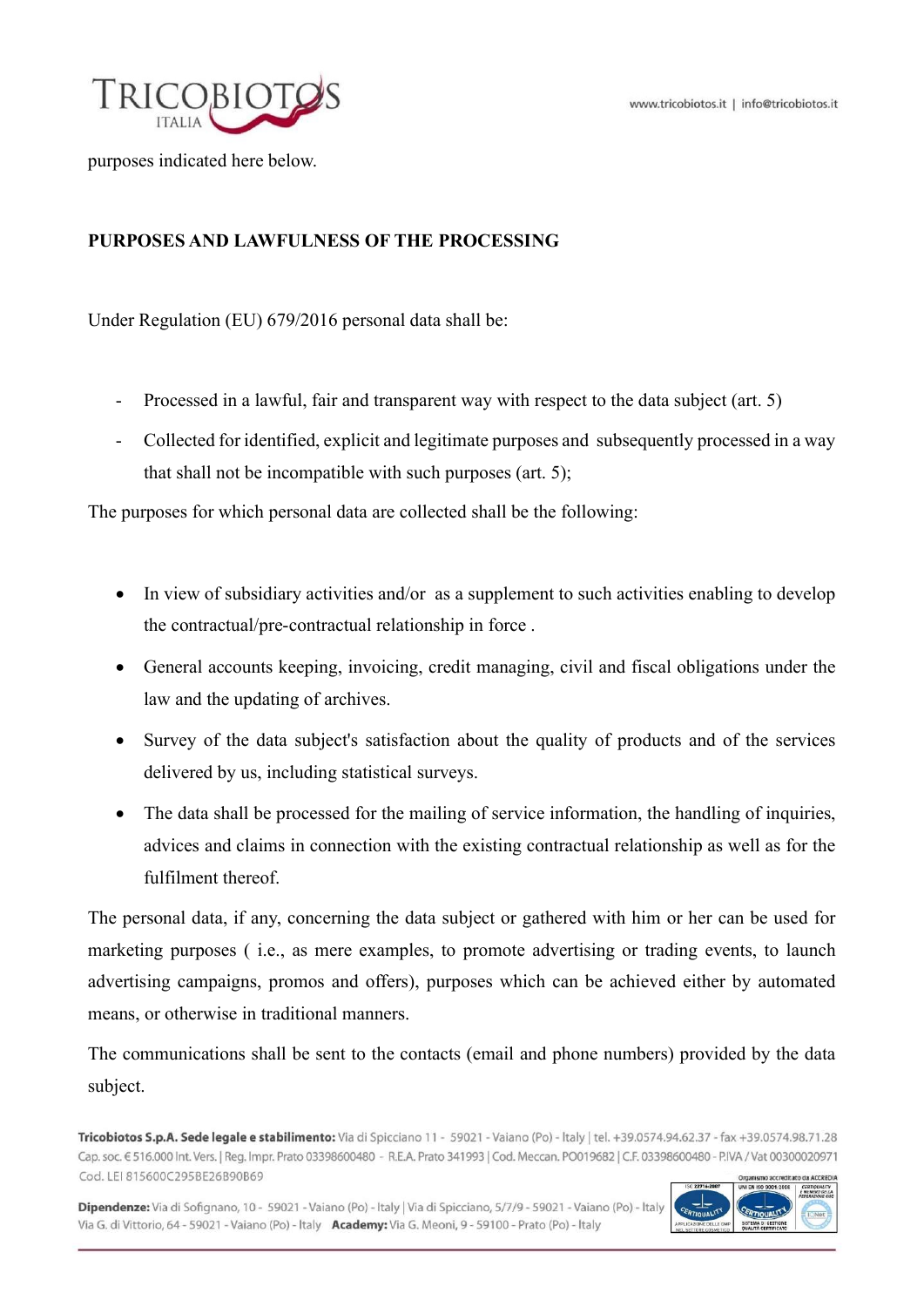

purposes indicated here below.

# PURPOSES AND LAWFULNESS OF THE PROCESSING

Under Regulation (EU) 679/2016 personal data shall be:

- Processed in a lawful, fair and transparent way with respect to the data subject (art. 5)
- Collected for identified, explicit and legitimate purposes and subsequently processed in a way that shall not be incompatible with such purposes (art. 5);

The purposes for which personal data are collected shall be the following:

- In view of subsidiary activities and/or as a supplement to such activities enabling to develop the contractual/pre-contractual relationship in force .
- General accounts keeping, invoicing, credit managing, civil and fiscal obligations under the law and the updating of archives.
- Survey of the data subject's satisfaction about the quality of products and of the services delivered by us, including statistical surveys.
- The data shall be processed for the mailing of service information, the handling of inquiries, advices and claims in connection with the existing contractual relationship as well as for the fulfilment thereof.

The personal data, if any, concerning the data subject or gathered with him or her can be used for marketing purposes ( i.e., as mere examples, to promote advertising or trading events, to launch advertising campaigns, promos and offers), purposes which can be achieved either by automated means, or otherwise in traditional manners.

The communications shall be sent to the contacts (email and phone numbers) provided by the data subject.

Tricobiotos S.p.A. Sede legale e stabilimento: Via di Spicciano 11 - 59021 - Vaiano (Po) - Italy | tel. +39.0574.94.62.37 - fax +39.0574.98.71.28 Cap. soc. € 516.000 Int. Vers. | Reg. Impr. Prato 03398600480 - R.E.A. Prato 341993 | Cod. Meccan. PO019682 | C.F. 03398600480 - P.IVA / Vat 00300020971 Cod. LEI 815600C295BE26B90B69

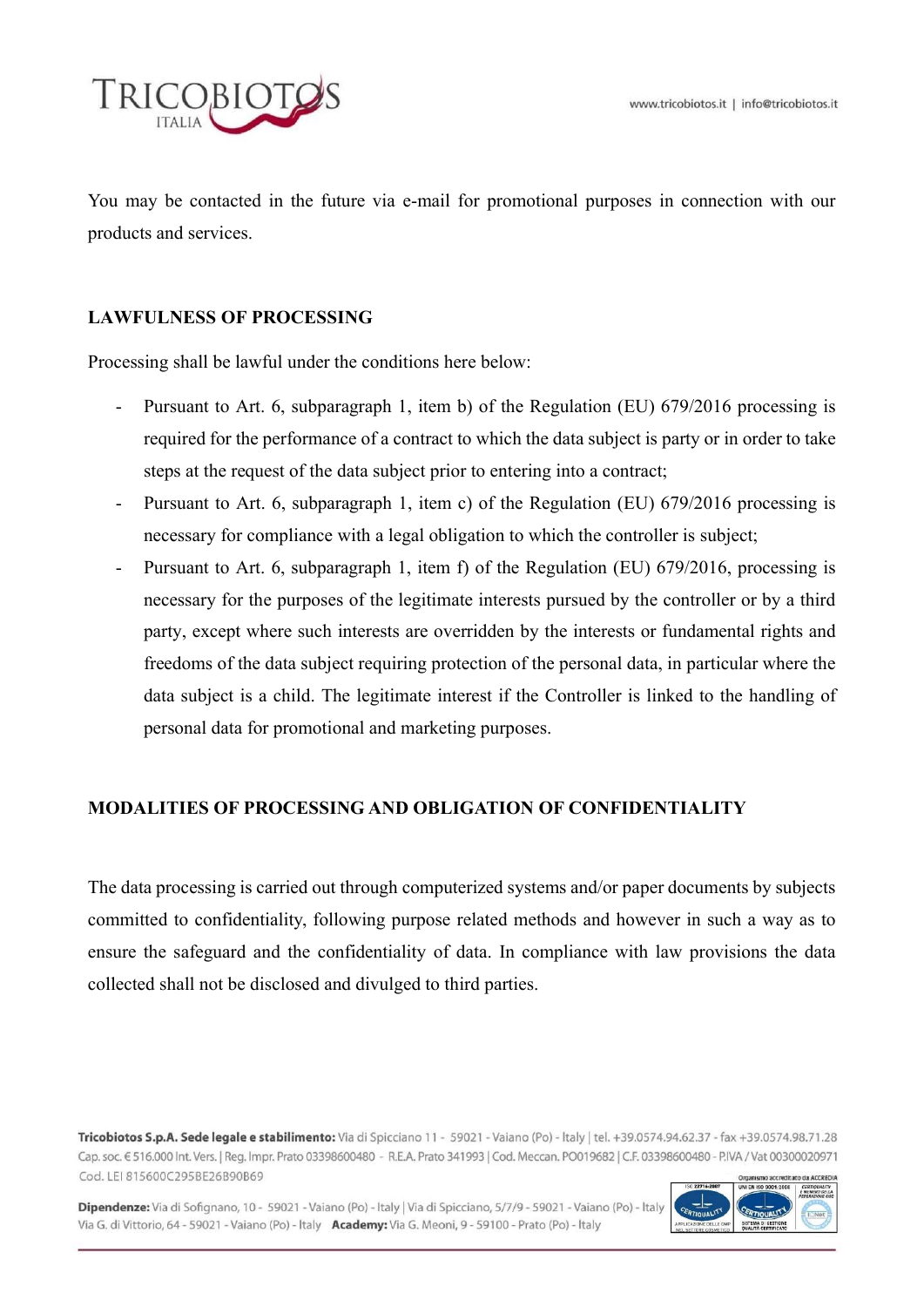

You may be contacted in the future via e-mail for promotional purposes in connection with our products and services.

## LAWFULNESS OF PROCESSING

Processing shall be lawful under the conditions here below:

- Pursuant to Art. 6, subparagraph 1, item b) of the Regulation (EU) 679/2016 processing is required for the performance of a contract to which the data subject is party or in order to take steps at the request of the data subject prior to entering into a contract;
- Pursuant to Art. 6, subparagraph 1, item c) of the Regulation (EU) 679/2016 processing is necessary for compliance with a legal obligation to which the controller is subject;
- Pursuant to Art. 6, subparagraph 1, item f) of the Regulation (EU) 679/2016, processing is necessary for the purposes of the legitimate interests pursued by the controller or by a third party, except where such interests are overridden by the interests or fundamental rights and freedoms of the data subject requiring protection of the personal data, in particular where the data subject is a child. The legitimate interest if the Controller is linked to the handling of personal data for promotional and marketing purposes.

## MODALITIES OF PROCESSING AND OBLIGATION OF CONFIDENTIALITY

The data processing is carried out through computerized systems and/or paper documents by subjects committed to confidentiality, following purpose related methods and however in such a way as to ensure the safeguard and the confidentiality of data. In compliance with law provisions the data collected shall not be disclosed and divulged to third parties.

Tricobiotos S.p.A. Sede legale e stabilimento: Via di Spicciano 11 - 59021 - Vaiano (Po) - Italy | tel. +39.0574.94.62.37 - fax +39.0574.98.71.28 Cap. soc. € 516.000 Int. Vers. | Reg. Impr. Prato 03398600480 - R.E.A. Prato 341993 | Cod. Meccan. PO019682 | C.F. 03398600480 - P.IVA / Vat 00300020971 Cod. LEI 815600C295BE26B90B69 ditato da ACCREDU

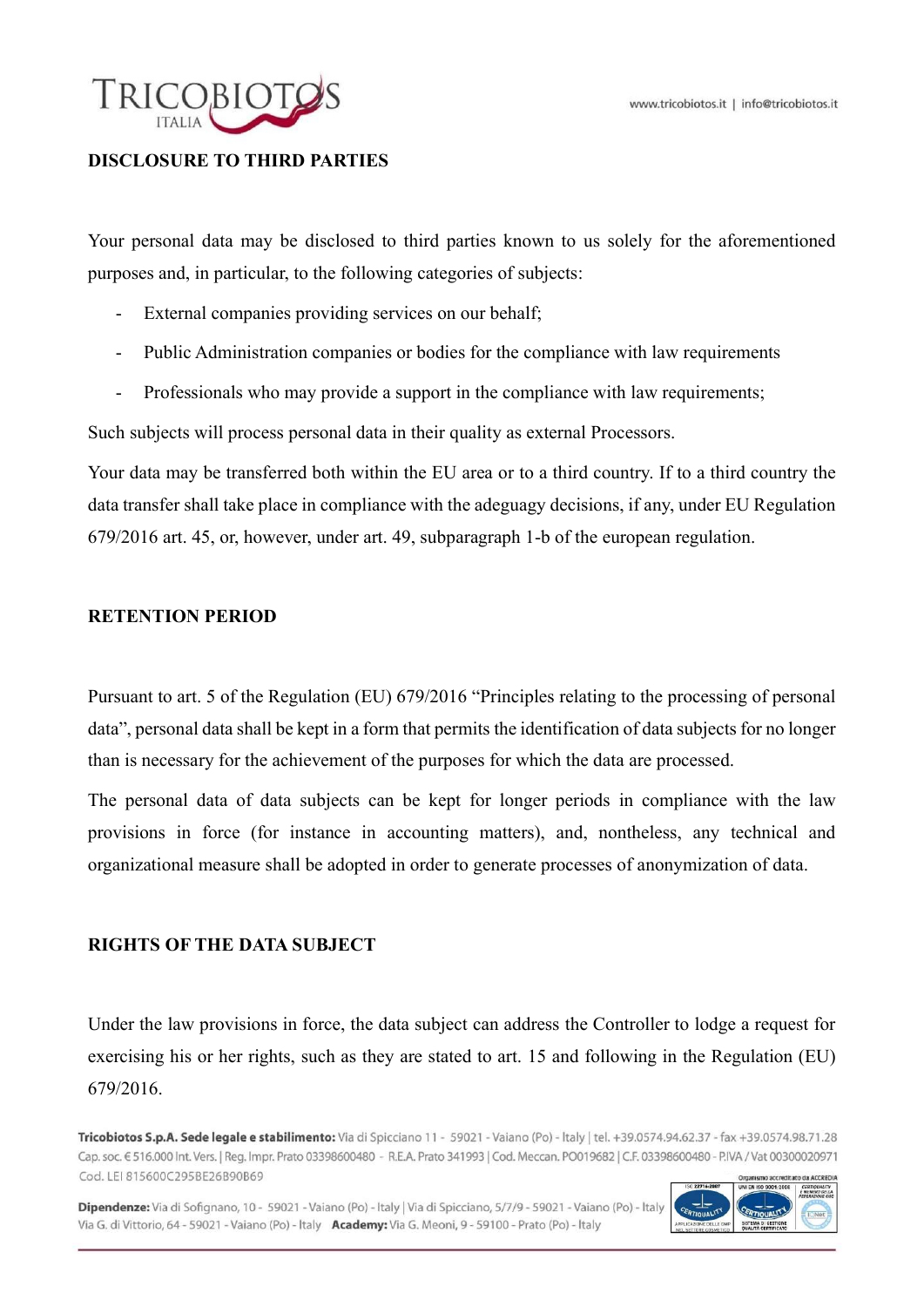

## DISCLOSURE TO THIRD PARTIES

Your personal data may be disclosed to third parties known to us solely for the aforementioned purposes and, in particular, to the following categories of subjects:

- External companies providing services on our behalf;
- Public Administration companies or bodies for the compliance with law requirements
- Professionals who may provide a support in the compliance with law requirements;

Such subjects will process personal data in their quality as external Processors.

Your data may be transferred both within the EU area or to a third country. If to a third country the data transfer shall take place in compliance with the adeguagy decisions, if any, under EU Regulation 679/2016 art. 45, or, however, under art. 49, subparagraph 1-b of the european regulation.

#### RETENTION PERIOD

Pursuant to art. 5 of the Regulation (EU) 679/2016 "Principles relating to the processing of personal data", personal data shall be kept in a form that permits the identification of data subjects for no longer than is necessary for the achievement of the purposes for which the data are processed.

The personal data of data subjects can be kept for longer periods in compliance with the law provisions in force (for instance in accounting matters), and, nontheless, any technical and organizational measure shall be adopted in order to generate processes of anonymization of data.

#### RIGHTS OF THE DATA SUBJECT

Under the law provisions in force, the data subject can address the Controller to lodge a request for exercising his or her rights, such as they are stated to art. 15 and following in the Regulation (EU) 679/2016.

Tricobiotos S.p.A. Sede legale e stabilimento: Via di Spicciano 11 - 59021 - Vaiano (Po) - Italy | tel. +39.0574.94.62.37 - fax +39.0574.98.71.28 Cap. soc. € 516.000 Int. Vers. | Reg. Impr. Prato 03398600480 - R.E.A. Prato 341993 | Cod. Meccan. PO019682 | C.F. 03398600480 - P.IVA / Vat 00300020971 Cod. LEI 815600C295BE26B90B69 ditato da ACCREDU